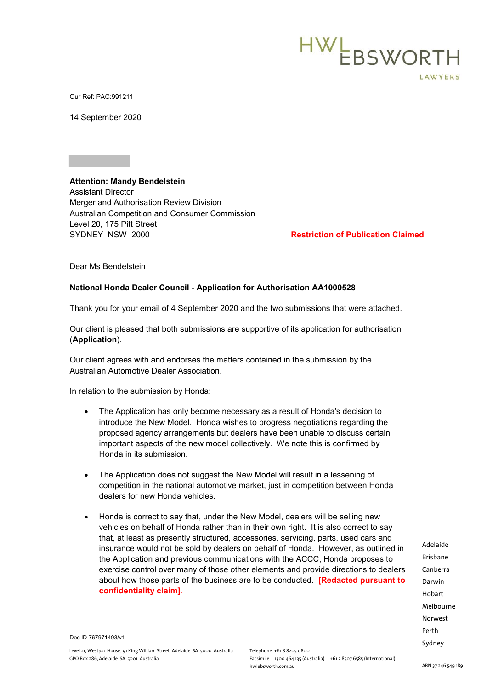

Our Ref: PAC:991211

14 September 2020

**Attention: Mandy Bendelstein**  Assistant Director Merger and Authorisation Review Division Australian Competition and Consumer Commission Level 20, 175 Pitt Street

SYDNEY NSW 2000 **Restriction of Publication Claimed**

Dear Ms Bendelstein

## **National Honda Dealer Council - Application for Authorisation AA1000528**

Thank you for your email of 4 September 2020 and the two submissions that were attached.

Our client is pleased that both submissions are supportive of its application for authorisation (**Application**).

Our client agrees with and endorses the matters contained in the submission by the Australian Automotive Dealer Association.

In relation to the submission by Honda:

- The Application has only become necessary as a result of Honda's decision to introduce the New Model. Honda wishes to progress negotiations regarding the proposed agency arrangements but dealers have been unable to discuss certain important aspects of the new model collectively. We note this is confirmed by Honda in its submission.
- The Application does not suggest the New Model will result in a lessening of competition in the national automotive market, just in competition between Honda dealers for new Honda vehicles.
- Honda is correct to say that, under the New Model, dealers will be selling new vehicles on behalf of Honda rather than in their own right. It is also correct to say that, at least as presently structured, accessories, servicing, parts, used cars and insurance would not be sold by dealers on behalf of Honda. However, as outlined in the Application and previous communications with the ACCC, Honda proposes to exercise control over many of those other elements and provide directions to dealers about how those parts of the business are to be conducted. **[Redacted pursuant to confidentiality claim]**.

Adelaide Brisbane Canberra Darwin Hobart Melbourne Norwest Perth Sydney

Doc ID 767971493/v1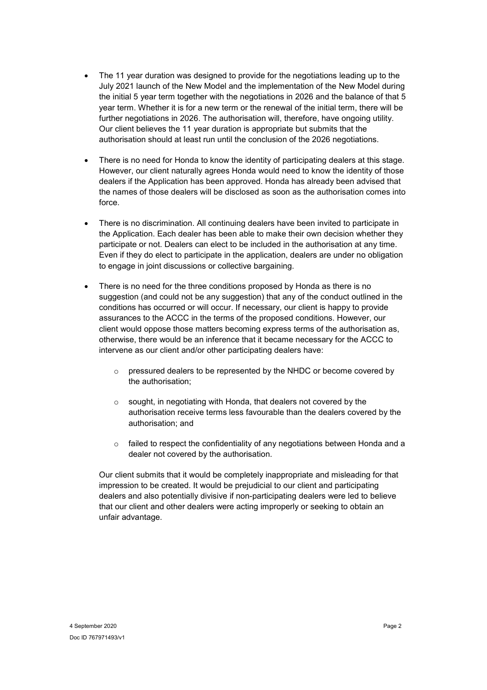- The 11 year duration was designed to provide for the negotiations leading up to the July 2021 launch of the New Model and the implementation of the New Model during the initial 5 year term together with the negotiations in 2026 and the balance of that 5 year term. Whether it is for a new term or the renewal of the initial term, there will be further negotiations in 2026. The authorisation will, therefore, have ongoing utility. Our client believes the 11 year duration is appropriate but submits that the authorisation should at least run until the conclusion of the 2026 negotiations.
- There is no need for Honda to know the identity of participating dealers at this stage. However, our client naturally agrees Honda would need to know the identity of those dealers if the Application has been approved. Honda has already been advised that the names of those dealers will be disclosed as soon as the authorisation comes into force.
- There is no discrimination. All continuing dealers have been invited to participate in the Application. Each dealer has been able to make their own decision whether they participate or not. Dealers can elect to be included in the authorisation at any time. Even if they do elect to participate in the application, dealers are under no obligation to engage in joint discussions or collective bargaining.
- There is no need for the three conditions proposed by Honda as there is no suggestion (and could not be any suggestion) that any of the conduct outlined in the conditions has occurred or will occur. If necessary, our client is happy to provide assurances to the ACCC in the terms of the proposed conditions. However, our client would oppose those matters becoming express terms of the authorisation as, otherwise, there would be an inference that it became necessary for the ACCC to intervene as our client and/or other participating dealers have:
	- o pressured dealers to be represented by the NHDC or become covered by the authorisation;
	- o sought, in negotiating with Honda, that dealers not covered by the authorisation receive terms less favourable than the dealers covered by the authorisation; and
	- o failed to respect the confidentiality of any negotiations between Honda and a dealer not covered by the authorisation.

Our client submits that it would be completely inappropriate and misleading for that impression to be created. It would be prejudicial to our client and participating dealers and also potentially divisive if non-participating dealers were led to believe that our client and other dealers were acting improperly or seeking to obtain an unfair advantage.